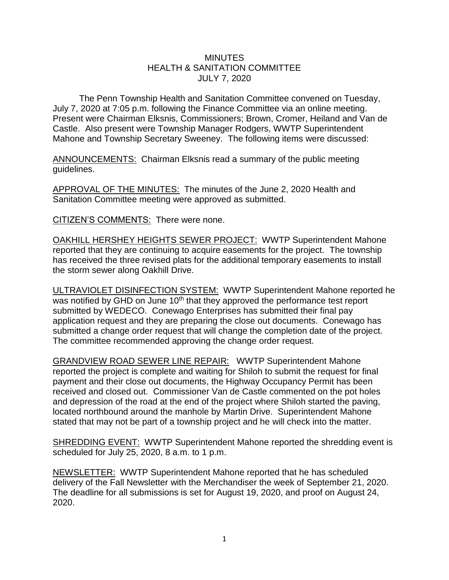## **MINUTES** HEALTH & SANITATION COMMITTEE JULY 7, 2020

The Penn Township Health and Sanitation Committee convened on Tuesday, July 7, 2020 at 7:05 p.m. following the Finance Committee via an online meeting. Present were Chairman Elksnis, Commissioners; Brown, Cromer, Heiland and Van de Castle. Also present were Township Manager Rodgers, WWTP Superintendent Mahone and Township Secretary Sweeney. The following items were discussed:

ANNOUNCEMENTS: Chairman Elksnis read a summary of the public meeting guidelines.

APPROVAL OF THE MINUTES: The minutes of the June 2, 2020 Health and Sanitation Committee meeting were approved as submitted.

CITIZEN'S COMMENTS: There were none.

OAKHILL HERSHEY HEIGHTS SEWER PROJECT: WWTP Superintendent Mahone reported that they are continuing to acquire easements for the project. The township has received the three revised plats for the additional temporary easements to install the storm sewer along Oakhill Drive.

ULTRAVIOLET DISINFECTION SYSTEM: WWTP Superintendent Mahone reported he was notified by GHD on June 10<sup>th</sup> that they approved the performance test report submitted by WEDECO. Conewago Enterprises has submitted their final pay application request and they are preparing the close out documents. Conewago has submitted a change order request that will change the completion date of the project. The committee recommended approving the change order request.

GRANDVIEW ROAD SEWER LINE REPAIR: WWTP Superintendent Mahone reported the project is complete and waiting for Shiloh to submit the request for final payment and their close out documents, the Highway Occupancy Permit has been received and closed out. Commissioner Van de Castle commented on the pot holes and depression of the road at the end of the project where Shiloh started the paving, located northbound around the manhole by Martin Drive. Superintendent Mahone stated that may not be part of a township project and he will check into the matter.

SHREDDING EVENT: WWTP Superintendent Mahone reported the shredding event is scheduled for July 25, 2020, 8 a.m. to 1 p.m.

NEWSLETTER: WWTP Superintendent Mahone reported that he has scheduled delivery of the Fall Newsletter with the Merchandiser the week of September 21, 2020. The deadline for all submissions is set for August 19, 2020, and proof on August 24, 2020.